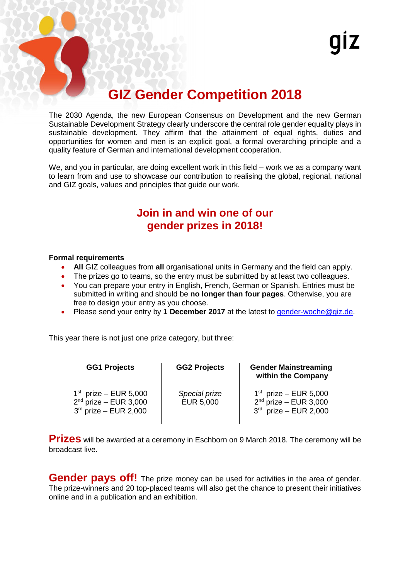

# **GIZ Gender Competition 2018**

The 2030 Agenda, the new European Consensus on Development and the new German Sustainable Development Strategy clearly underscore the central role gender equality plays in sustainable development. They affirm that the attainment of equal rights, duties and opportunities for women and men is an explicit goal, a formal overarching principle and a quality feature of German and international development cooperation.

We, and you in particular, are doing excellent work in this field – work we as a company want to learn from and use to showcase our contribution to realising the global, regional, national and GIZ goals, values and principles that guide our work.

## **Join in and win one of our gender prizes in 2018!**

#### **Formal requirements**

- **All** GIZ colleagues from **all** organisational units in Germany and the field can apply.
- The prizes go to teams, so the entry must be submitted by at least two colleagues.
- You can prepare your entry in English, French, German or Spanish. Entries must be submitted in writing and should be **no longer than four pages**. Otherwise, you are free to design your entry as you choose.
- Please send your entry by **1 December 2017** at the latest to [gender-woche@giz.de.](mailto:gender-woche@giz.de)

This year there is not just one prize category, but three:

| <b>GG1 Projects</b>                                                           | <b>GG2 Projects</b>               | <b>Gender Mainstreaming</b><br>within the Company                             |
|-------------------------------------------------------------------------------|-----------------------------------|-------------------------------------------------------------------------------|
| $1st$ prize – EUR 5,000<br>$2nd$ prize - EUR 3,000<br>$3rd$ prize – EUR 2,000 | Special prize<br><b>EUR 5,000</b> | $1st$ prize – EUR 5,000<br>$2nd$ prize - EUR 3,000<br>$3rd$ prize - EUR 2,000 |

**Prizes** will be awarded at a ceremony in Eschborn on 9 March 2018. The ceremony will be broadcast live.

**Gender pays off!** The prize money can be used for activities in the area of gender. The prize-winners and 20 top-placed teams will also get the chance to present their initiatives online and in a publication and an exhibition.